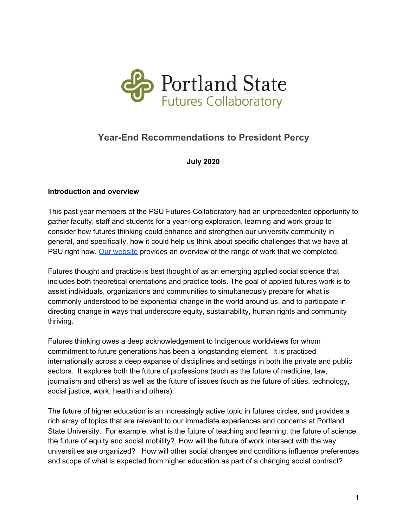

# **Year-End Recommendations to President Percy**

**July 2020**

#### **Introduction and overview**

This past year members of the PSU Futures Collaboratory had an unprecedented opportunity to gather faculty, staff and students for a year-long exploration, learning and work group to consider how futures thinking could enhance and strengthen our university community in general, and specifically, how it could help us think about specific challenges that we have at PSU right now. Our [website](https://sites.google.com/pdx.edu/futurescollaboratory) provides an overview of the range of work that we completed.

Futures thought and practice is best thought of as an emerging applied social science that includes both theoretical orientations and practice tools. The goal of applied futures work is to assist individuals, organizations and communities to simultaneously prepare for what is commonly understood to be exponential change in the world around us, and to participate in directing change in ways that underscore equity, sustainability, human rights and community thriving.

Futures thinking owes a deep acknowledgement to Indigenous worldviews for whom commitment to future generations has been a longstanding element. It is practiced internationally across a deep expanse of disciplines and settings in both the private and public sectors. It explores both the future of professions (such as the future of medicine, law, journalism and others) as well as the future of issues (such as the future of cities, technology, social justice, work, health and others).

The future of higher education is an increasingly active topic in futures circles, and provides a rich array of topics that are relevant to our immediate experiences and concerns at Portland State University. For example, what is the future of teaching and learning, the future of science, the future of equity and social mobility? How will the future of work intersect with the way universities are organized? How will other social changes and conditions influence preferences and scope of what is expected from higher education as part of a changing social contract?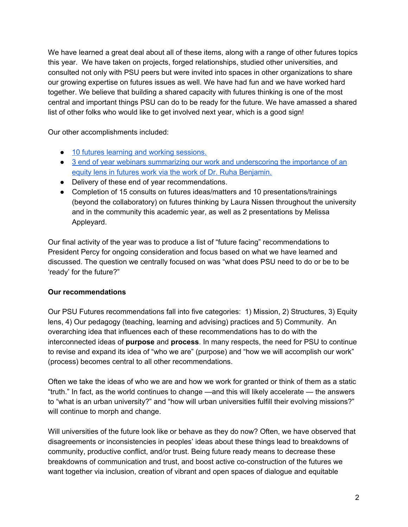We have learned a great deal about all of these items, along with a range of other futures topics this year. We have taken on projects, forged relationships, studied other universities, and consulted not only with PSU peers but were invited into spaces in other organizations to share our growing expertise on futures issues as well. We have had fun and we have worked hard together. We believe that building a shared capacity with futures thinking is one of the most central and important things PSU can do to be ready for the future. We have amassed a shared list of other folks who would like to get involved next year, which is a good sign!

Our other accomplishments included:

- 10 futures learning and working [sessions.](https://sites.google.com/pdx.edu/futurescollaboratory/meetings)
- 3 end of year webinars summarizing our work and [underscoring](https://sites.google.com/pdx.edu/futurescollaboratory/events) the importance of an equity lens in futures work via the work of Dr. Ruha [Benjamin.](https://sites.google.com/pdx.edu/futurescollaboratory/events)
- Delivery of these end of year recommendations.
- Completion of 15 consults on futures ideas/matters and 10 presentations/trainings (beyond the collaboratory) on futures thinking by Laura Nissen throughout the university and in the community this academic year, as well as 2 presentations by Melissa Appleyard.

Our final activity of the year was to produce a list of "future facing" recommendations to President Percy for ongoing consideration and focus based on what we have learned and discussed. The question we centrally focused on was "what does PSU need to do or be to be 'ready' for the future?"

#### **Our recommendations**

Our PSU Futures recommendations fall into five categories: 1) Mission, 2) Structures, 3) Equity lens, 4) Our pedagogy (teaching, learning and advising) practices and 5) Community. An overarching idea that influences each of these recommendations has to do with the interconnected ideas of **purpose** and **process**. In many respects, the need for PSU to continue to revise and expand its idea of "who we are" (purpose) and "how we will accomplish our work" (process) becomes central to all other recommendations.

Often we take the ideas of who we are and how we work for granted or think of them as a static "truth." In fact, as the world continues to change —and this will likely accelerate — the answers to "what is an urban university?" and "how will urban universities fulfill their evolving missions?" will continue to morph and change.

Will universities of the future look like or behave as they do now? Often, we have observed that disagreements or inconsistencies in peoples' ideas about these things lead to breakdowns of community, productive conflict, and/or trust. Being future ready means to decrease these breakdowns of communication and trust, and boost active co-construction of the futures we want together via inclusion, creation of vibrant and open spaces of dialogue and equitable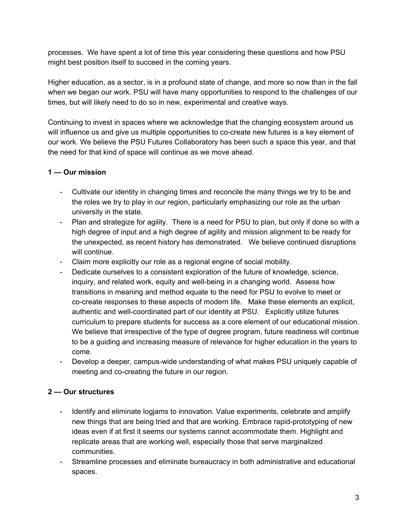processes. We have spent a lot of time this year considering these questions and how PSU might best position itself to succeed in the coming years.

Higher education, as a sector, is in a profound state of change, and more so now than in the fall when we began our work. PSU will have many opportunities to respond to the challenges of our times, but will likely need to do so in new, experimental and creative ways.

Continuing to invest in spaces where we acknowledge that the changing ecosystem around us will influence us and give us multiple opportunities to co-create new futures is a key element of our work. We believe the PSU Futures Collaboratory has been such a space this year, and that the need for that kind of space will continue as we move ahead.

### **1 — Our mission**

- Cultivate our identity in changing times and reconcile the many things we try to be and the roles we try to play in our region, particularly emphasizing our role as the urban university in the state.
- Plan and strategize for agility. There is a need for PSU to plan, but only if done so with a high degree of input and a high degree of agility and mission alignment to be ready for the unexpected, as recent history has demonstrated. We believe continued disruptions will continue.
- Claim more explicitly our role as a regional engine of social mobility.
- Dedicate ourselves to a consistent exploration of the future of knowledge, science, inquiry, and related work, equity and well-being in a changing world. Assess how transitions in meaning and method equate to the need for PSU to evolve to meet or co-create responses to these aspects of modern life. Make these elements an explicit, authentic and well-coordinated part of our identity at PSU. Explicitly utilize futures curriculum to prepare students for success as a core element of our educational mission. We believe that irrespective of the type of degree program, future readiness will continue to be a guiding and increasing measure of relevance for higher education in the years to come.
- Develop a deeper, campus-wide understanding of what makes PSU uniquely capable of meeting and co-creating the future in our region.

# **2 — Our structures**

- Identify and eliminate logiams to innovation. Value experiments, celebrate and amplify new things that are being tried and that are working. Embrace rapid-prototyping of new ideas even if at first it seems our systems cannot accommodate them. Highlight and replicate areas that are working well, especially those that serve marginalized communities.
- Streamline processes and eliminate bureaucracy in both administrative and educational spaces.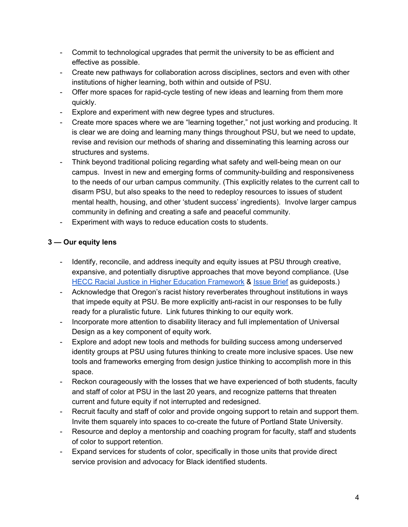- Commit to technological upgrades that permit the university to be as efficient and effective as possible.
- Create new pathways for collaboration across disciplines, sectors and even with other institutions of higher learning, both within and outside of PSU.
- Offer more spaces for rapid-cycle testing of new ideas and learning from them more quickly.
- Explore and experiment with new degree types and structures.
- Create more spaces where we are "learning together," not just working and producing. It is clear we are doing and learning many things throughout PSU, but we need to update, revise and revision our methods of sharing and disseminating this learning across our structures and systems.
- Think beyond traditional policing regarding what safety and well-being mean on our campus. Invest in new and emerging forms of community-building and responsiveness to the needs of our urban campus community. (This explicitly relates to the current call to disarm PSU, but also speaks to the need to redeploy resources to issues of student mental health, housing, and other 'student success' ingredients). Involve larger campus community in defining and creating a safe and peaceful community.
- Experiment with ways to reduce education costs to students.

### **3 — Our equity lens**

- Identify, reconcile, and address inequity and equity issues at PSU through creative, expansive, and potentially disruptive approaches that move beyond compliance. (Use HECC Racial Justice in Higher Education [Framework](https://mailchi.mp/hecc/equity-framework?e=235ad6acb2) & [Issue](https://mail.google.com/mail/u/0/?tab=cm#search/osvaldo.avila%40hecc.oregon.gov/FMfcgxwGCkngQNXkKVTvHdqgBJwVlTFB?projector=1&messagePartId=0.1) Brief as guideposts.)
- Acknowledge that Oregon's racist history reverberates throughout institutions in ways that impede equity at PSU. Be more explicitly anti-racist in our responses to be fully ready for a pluralistic future. Link futures thinking to our equity work.
- Incorporate more attention to disability literacy and full implementation of Universal Design as a key component of equity work.
- Explore and adopt new tools and methods for building success among underserved identity groups at PSU using futures thinking to create more inclusive spaces. Use new tools and frameworks emerging from design justice thinking to accomplish more in this space.
- Reckon courageously with the losses that we have experienced of both students, faculty and staff of color at PSU in the last 20 years, and recognize patterns that threaten current and future equity if not interrupted and redesigned.
- Recruit faculty and staff of color and provide ongoing support to retain and support them. Invite them squarely into spaces to co-create the future of Portland State University.
- Resource and deploy a mentorship and coaching program for faculty, staff and students of color to support retention.
- Expand services for students of color, specifically in those units that provide direct service provision and advocacy for Black identified students.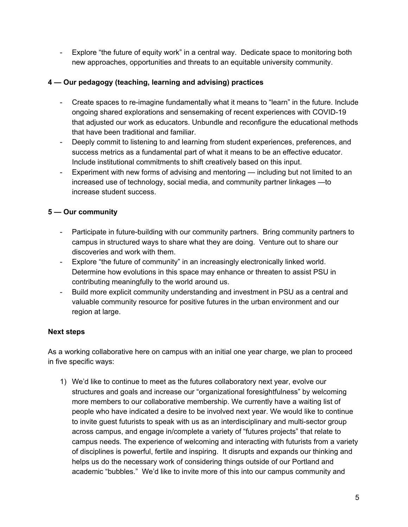- Explore "the future of equity work" in a central way. Dedicate space to monitoring both new approaches, opportunities and threats to an equitable university community.

### **4 — Our pedagogy (teaching, learning and advising) practices**

- Create spaces to re-imagine fundamentally what it means to "learn" in the future. Include ongoing shared explorations and sensemaking of recent experiences with COVID-19 that adjusted our work as educators. Unbundle and reconfigure the educational methods that have been traditional and familiar.
- Deeply commit to listening to and learning from student experiences, preferences, and success metrics as a fundamental part of what it means to be an effective educator. Include institutional commitments to shift creatively based on this input.
- Experiment with new forms of advising and mentoring including but not limited to an increased use of technology, social media, and community partner linkages —to increase student success.

### **5 — Our community**

- Participate in future-building with our community partners. Bring community partners to campus in structured ways to share what they are doing. Venture out to share our discoveries and work with them.
- Explore "the future of community" in an increasingly electronically linked world. Determine how evolutions in this space may enhance or threaten to assist PSU in contributing meaningfully to the world around us.
- Build more explicit community understanding and investment in PSU as a central and valuable community resource for positive futures in the urban environment and our region at large.

# **Next steps**

As a working collaborative here on campus with an initial one year charge, we plan to proceed in five specific ways:

1) We'd like to continue to meet as the futures collaboratory next year, evolve our structures and goals and increase our "organizational foresightfulness" by welcoming more members to our collaborative membership. We currently have a waiting list of people who have indicated a desire to be involved next year. We would like to continue to invite guest futurists to speak with us as an interdisciplinary and multi-sector group across campus, and engage in/complete a variety of "futures projects" that relate to campus needs. The experience of welcoming and interacting with futurists from a variety of disciplines is powerful, fertile and inspiring. It disrupts and expands our thinking and helps us do the necessary work of considering things outside of our Portland and academic "bubbles." We'd like to invite more of this into our campus community and